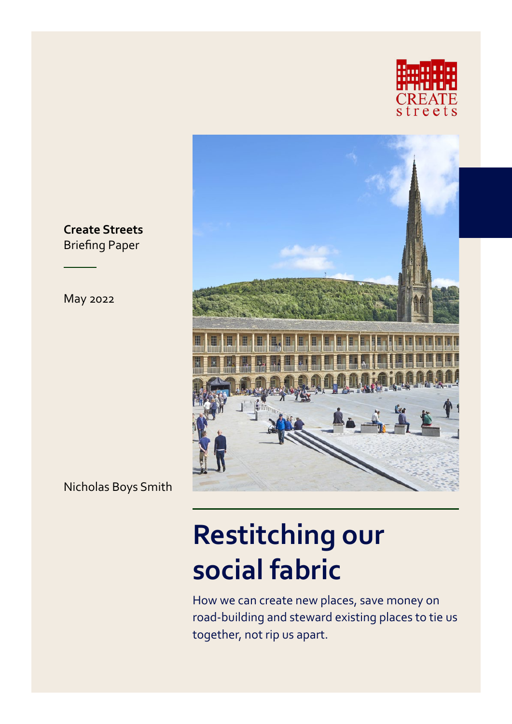



**Create Streets** Briefing Paper

May 2022

Nicholas Boys Smith

# **Restitching our social fabric**

How we can create new places, save money on road-building and steward existing places to tie us together, not rip us apart.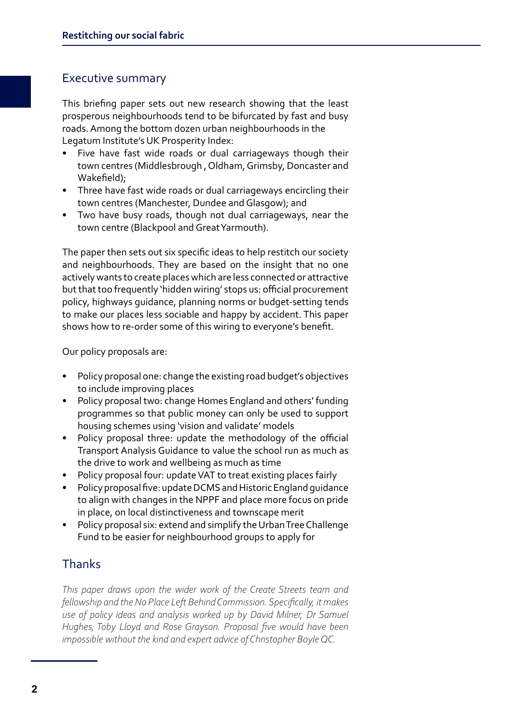# Executive summary

This briefing paper sets out new research showing that the least prosperous neighbourhoods tend to be bifurcated by fast and busy roads. Among the bottom dozen urban neighbourhoods in the Legatum Institute's UK Prosperity Index:

- Five have fast wide roads or dual carriageways though their town centres (Middlesbrough , Oldham, Grimsby, Doncaster and Wakefield);
- Three have fast wide roads or dual carriageways encircling their town centres (Manchester, Dundee and Glasgow); and
- Two have busy roads, though not dual carriageways, near the town centre (Blackpool and Great Yarmouth).

The paper then sets out six specific ideas to help restitch our society and neighbourhoods. They are based on the insight that no one actively wants to create places which are less connected or attractive but that too frequently 'hidden wiring' stops us: official procurement policy, highways guidance, planning norms or budget-setting tends to make our places less sociable and happy by accident. This paper shows how to re-order some of this wiring to everyone's benefit.

Our policy proposals are:

- Policy proposal one: change the existing road budget's objectives to include improving places
- Policy proposal two: change Homes England and others' funding programmes so that public money can only be used to support housing schemes using 'vision and validate' models
- Policy proposal three: update the methodology of the official Transport Analysis Guidance to value the school run as much as the drive to work and wellbeing as much as time
- Policy proposal four: update VAT to treat existing places fairly
- Policy proposal five: update DCMS and Historic England guidance to align with changes in the NPPF and place more focus on pride in place, on local distinctiveness and townscape merit
- Policy proposal six: extend and simplify the Urban Tree Challenge Fund to be easier for neighbourhood groups to apply for

# Thanks

*This paper draws upon the wider work of the Create Streets team and fellowship and the No Place Left Behind Commission. Specifically, it makes use of policy ideas and analysis worked up by David Milner, Dr Samuel Hughes, Toby Lloyd and Rose Grayson. Proposal five would have been impossible without the kind and expert advice of Christopher Boyle QC.*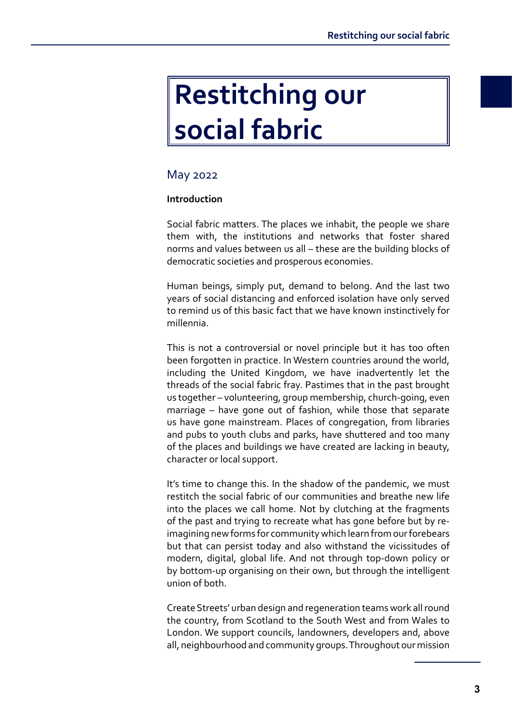# **Restitching our social fabric**

# May 2022

# **Introduction**

Social fabric matters. The places we inhabit, the people we share them with, the institutions and networks that foster shared norms and values between us all – these are the building blocks of democratic societies and prosperous economies.

Human beings, simply put, demand to belong. And the last two years of social distancing and enforced isolation have only served to remind us of this basic fact that we have known instinctively for millennia.

This is not a controversial or novel principle but it has too often been forgotten in practice. In Western countries around the world, including the United Kingdom, we have inadvertently let the threads of the social fabric fray. Pastimes that in the past brought us together – volunteering, group membership, church-going, even marriage – have gone out of fashion, while those that separate us have gone mainstream. Places of congregation, from libraries and pubs to youth clubs and parks, have shuttered and too many of the places and buildings we have created are lacking in beauty, character or local support.

It's time to change this. In the shadow of the pandemic, we must restitch the social fabric of our communities and breathe new life into the places we call home. Not by clutching at the fragments of the past and trying to recreate what has gone before but by reimagining new forms for community which learn from our forebears but that can persist today and also withstand the vicissitudes of modern, digital, global life. And not through top-down policy or by bottom-up organising on their own, but through the intelligent union of both.

Create Streets' urban design and regeneration teams work all round the country, from Scotland to the South West and from Wales to London. We support councils, landowners, developers and, above all, neighbourhood and community groups. Throughout our mission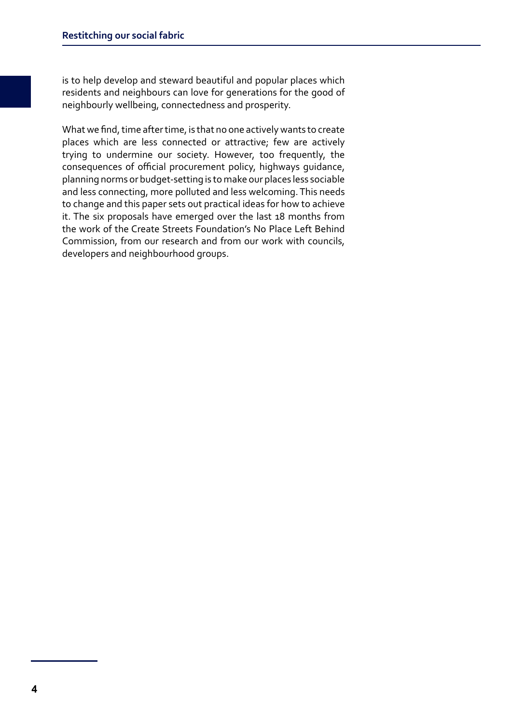is to help develop and steward beautiful and popular places which residents and neighbours can love for generations for the good of neighbourly wellbeing, connectedness and prosperity.

What we find, time after time, is that no one actively wants to create places which are less connected or attractive; few are actively trying to undermine our society. However, too frequently, the consequences of official procurement policy, highways guidance, planning norms or budget-setting is to make our places less sociable and less connecting, more polluted and less welcoming. This needs to change and this paper sets out practical ideas for how to achieve it. The six proposals have emerged over the last 18 months from the work of the Create Streets Foundation's No Place Left Behind Commission, from our research and from our work with councils, developers and neighbourhood groups.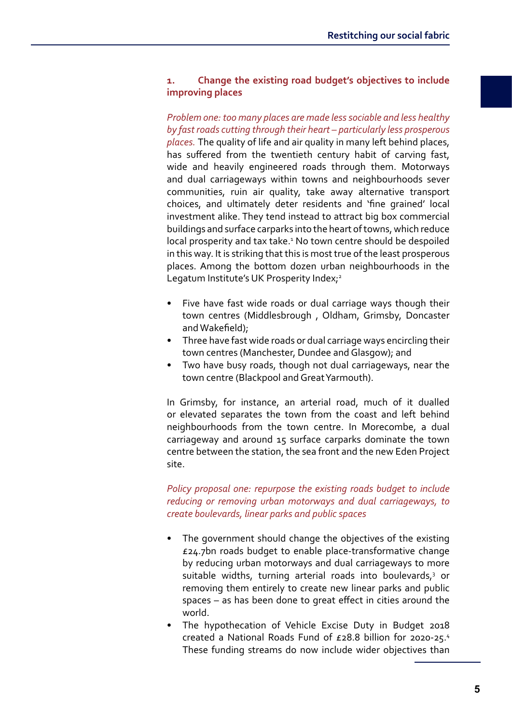# **1. Change the existing road budget's objectives to include improving places**

*Problem one: too many places are made less sociable and less healthy by fast roads cutting through their heart – particularly less prosperous places.* The quality of life and air quality in many left behind places, has suffered from the twentieth century habit of carving fast, wide and heavily engineered roads through them. Motorways and dual carriageways within towns and neighbourhoods sever communities, ruin air quality, take away alternative transport choices, and ultimately deter residents and 'fine grained' local investment alike. They tend instead to attract big box commercial buildings and surface carparks into the heart of towns, which reduce local prosperity and tax take.<sup>1</sup> No town centre should be despoiled in this way. It is striking that this is most true of the least prosperous places. Among the bottom dozen urban neighbourhoods in the Legatum Institute's UK Prosperity Index;<sup>2</sup>

- Five have fast wide roads or dual carriage ways though their town centres (Middlesbrough , Oldham, Grimsby, Doncaster and Wakefield);
- Three have fast wide roads or dual carriage ways encircling their town centres (Manchester, Dundee and Glasgow); and
- Two have busy roads, though not dual carriageways, near the town centre (Blackpool and Great Yarmouth).

In Grimsby, for instance, an arterial road, much of it dualled or elevated separates the town from the coast and left behind neighbourhoods from the town centre. In Morecombe, a dual carriageway and around 15 surface carparks dominate the town centre between the station, the sea front and the new Eden Project site.

*Policy proposal one: repurpose the existing roads budget to include reducing or removing urban motorways and dual carriageways, to create boulevards, linear parks and public spaces*

- The government should change the objectives of the existing £24.7bn roads budget to enable place-transformative change by reducing urban motorways and dual carriageways to more suitable widths, turning arterial roads into boulevards,<sup>3</sup> or removing them entirely to create new linear parks and public spaces – as has been done to great effect in cities around the world.
- The hypothecation of Vehicle Excise Duty in Budget 2018 created a National Roads Fund of £28.8 billion for 2020-25.4 These funding streams do now include wider objectives than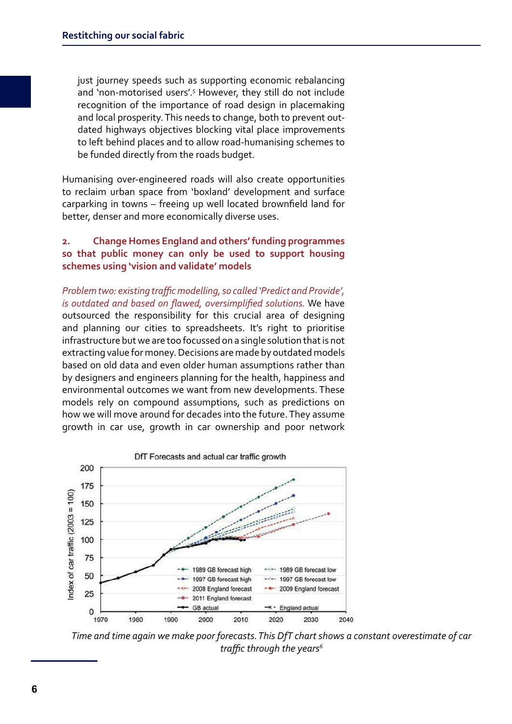just journey speeds such as supporting economic rebalancing and 'non-motorised users'.<sup>5</sup> However, they still do not include recognition of the importance of road design in placemaking and local prosperity. This needs to change, both to prevent outdated highways objectives blocking vital place improvements to left behind places and to allow road-humanising schemes to be funded directly from the roads budget.

Humanising over-engineered roads will also create opportunities to reclaim urban space from 'boxland' development and surface carparking in towns – freeing up well located brownfield land for better, denser and more economically diverse uses.

# **2. Change Homes England and others' funding programmes so that public money can only be used to support housing schemes using 'vision and validate' models**

*Problem two: existing traffic modelling, so called 'Predict and Provide', is outdated and based on flawed, oversimplified solutions.* We have outsourced the responsibility for this crucial area of designing and planning our cities to spreadsheets. It's right to prioritise infrastructure but we are too focussed on a single solution that is not extracting value for money. Decisions are made by outdated models based on old data and even older human assumptions rather than by designers and engineers planning for the health, happiness and environmental outcomes we want from new developments. These models rely on compound assumptions, such as predictions on how we will move around for decades into the future. They assume growth in car use, growth in car ownership and poor network



*Time and time again we make poor forecasts. This DfT chart shows a constant overestimate of car traffic through the years6*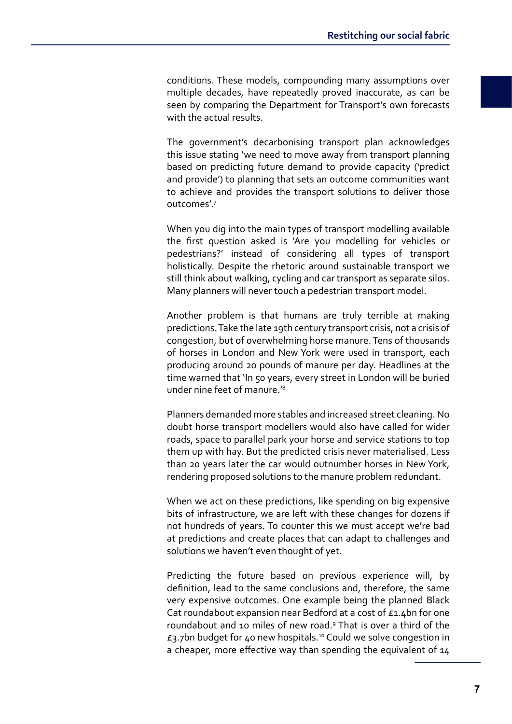conditions. These models, compounding many assumptions over multiple decades, have repeatedly proved inaccurate, as can be seen by comparing the Department for Transport's own forecasts with the actual results.

The government's decarbonising transport plan acknowledges this issue stating 'we need to move away from transport planning based on predicting future demand to provide capacity ('predict and provide') to planning that sets an outcome communities want to achieve and provides the transport solutions to deliver those outcomes'.7

When you dig into the main types of transport modelling available the first question asked is 'Are you modelling for vehicles or pedestrians?' instead of considering all types of transport holistically. Despite the rhetoric around sustainable transport we still think about walking, cycling and car transport as separate silos. Many planners will never touch a pedestrian transport model.

Another problem is that humans are truly terrible at making predictions. Take the late 19th century transport crisis, not a crisis of congestion, but of overwhelming horse manure. Tens of thousands of horses in London and New York were used in transport, each producing around 20 pounds of manure per day. Headlines at the time warned that 'In 50 years, every street in London will be buried under nine feet of manure.'8

Planners demanded more stables and increased street cleaning. No doubt horse transport modellers would also have called for wider roads, space to parallel park your horse and service stations to top them up with hay. But the predicted crisis never materialised. Less than 20 years later the car would outnumber horses in New York, rendering proposed solutions to the manure problem redundant.

When we act on these predictions, like spending on big expensive bits of infrastructure, we are left with these changes for dozens if not hundreds of years. To counter this we must accept we're bad at predictions and create places that can adapt to challenges and solutions we haven't even thought of yet.

Predicting the future based on previous experience will, by definition, lead to the same conclusions and, therefore, the same very expensive outcomes. One example being the planned Black Cat roundabout expansion near Bedford at a cost of £1.4bn for one roundabout and 10 miles of new road.<sup>9</sup> That is over a third of the  $£3.7$ bn budget for 40 new hospitals.<sup>10</sup> Could we solve congestion in a cheaper, more effective way than spending the equivalent of 14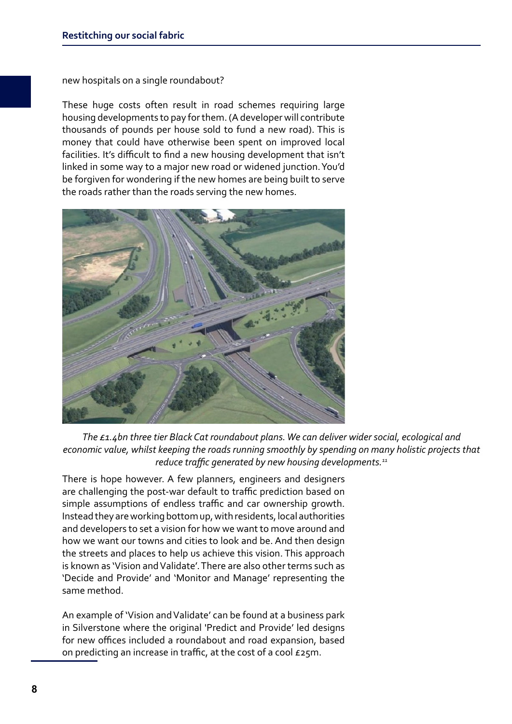new hospitals on a single roundabout?

These huge costs often result in road schemes requiring large housing developments to pay for them. (A developer will contribute thousands of pounds per house sold to fund a new road). This is money that could have otherwise been spent on improved local facilities. It's difficult to find a new housing development that isn't linked in some way to a major new road or widened junction. You'd be forgiven for wondering if the new homes are being built to serve the roads rather than the roads serving the new homes.



*The £1.4bn three tier Black Cat roundabout plans. We can deliver wider social, ecological and economic value, whilst keeping the roads running smoothly by spending on many holistic projects that reduce traffic generated by new housing developments.<sup>11</sup>*

There is hope however. A few planners, engineers and designers are challenging the post-war default to traffic prediction based on simple assumptions of endless traffic and car ownership growth. Instead they are working bottom up, with residents, local authorities and developers to set a vision for how we want to move around and how we want our towns and cities to look and be. And then design the streets and places to help us achieve this vision. This approach is known as 'Vision and Validate'. There are also other terms such as 'Decide and Provide' and 'Monitor and Manage' representing the same method.

An example of 'Vision and Validate' can be found at a business park in Silverstone where the original 'Predict and Provide' led designs for new offices included a roundabout and road expansion, based on predicting an increase in traffic, at the cost of a cool £25m.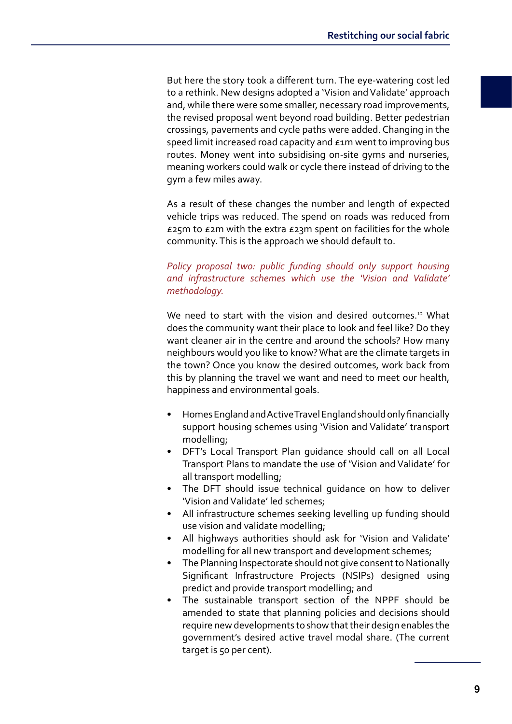But here the story took a different turn. The eye-watering cost led to a rethink. New designs adopted a 'Vision and Validate' approach and, while there were some smaller, necessary road improvements, the revised proposal went beyond road building. Better pedestrian crossings, pavements and cycle paths were added. Changing in the speed limit increased road capacity and £1m went to improving bus routes. Money went into subsidising on-site gyms and nurseries, meaning workers could walk or cycle there instead of driving to the gym a few miles away.

As a result of these changes the number and length of expected vehicle trips was reduced. The spend on roads was reduced from £25m to £2m with the extra £23m spent on facilities for the whole community. This is the approach we should default to.

# *Policy proposal two: public funding should only support housing and infrastructure schemes which use the 'Vision and Validate' methodology.*

We need to start with the vision and desired outcomes.<sup>12</sup> What does the community want their place to look and feel like? Do they want cleaner air in the centre and around the schools? How many neighbours would you like to know? What are the climate targets in the town? Once you know the desired outcomes, work back from this by planning the travel we want and need to meet our health, happiness and environmental goals.

- Homes England and Active Travel England should only financially support housing schemes using 'Vision and Validate' transport modelling;
- DFT's Local Transport Plan guidance should call on all Local Transport Plans to mandate the use of 'Vision and Validate' for all transport modelling;
- The DFT should issue technical guidance on how to deliver 'Vision and Validate' led schemes;
- All infrastructure schemes seeking levelling up funding should use vision and validate modelling;
- All highways authorities should ask for 'Vision and Validate' modelling for all new transport and development schemes;
- The Planning Inspectorate should not give consent to Nationally Significant Infrastructure Projects (NSIPs) designed using predict and provide transport modelling; and
- The sustainable transport section of the NPPF should be amended to state that planning policies and decisions should require new developments to show that their design enables the government's desired active travel modal share. (The current target is 50 per cent).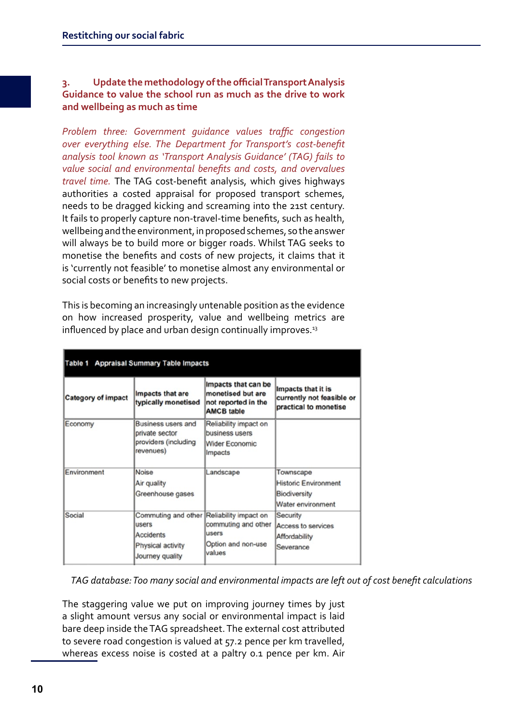# **3. Update the methodology ofthe officialTransportAnalysis Guidance to value the school run as much as the drive to work and wellbeing as much as time**

*Problem three: Government guidance values traffic congestion over everything else. The Department for Transport's cost-benefit analysis tool known as 'Transport Analysis Guidance' (TAG) fails to value social and environmental benefits and costs, and overvalues travel time.* The TAG cost-benefit analysis, which gives highways authorities a costed appraisal for proposed transport schemes, needs to be dragged kicking and screaming into the 21st century. It fails to properly capture non-travel-time benefits, such as health, wellbeing and the environment, in proposed schemes, so the answer will always be to build more or bigger roads. Whilst TAG seeks to monetise the benefits and costs of new projects, it claims that it is 'currently not feasible' to monetise almost any environmental or social costs or benefits to new projects.

This is becoming an increasingly untenable position as the evidence on how increased prosperity, value and wellbeing metrics are influenced by place and urban design continually improves.<sup>13</sup>

| Table 1 Appraisal Summary Table Impacts |                                                                                          |                                                                                       |                                                                                      |
|-----------------------------------------|------------------------------------------------------------------------------------------|---------------------------------------------------------------------------------------|--------------------------------------------------------------------------------------|
| <b>Category of impact</b>               | Impacts that are<br>typically monetised                                                  | Impacts that can be<br>monetised but are<br>not reported in the<br><b>AMCB</b> table  | Impacts that it is<br>currently not feasible or<br>practical to monetise             |
| Economy                                 | Business users and<br>private sector<br>providers (including<br>revenues)                | Reliability impact on<br>business users<br><b>Wider Economic</b><br>Impacts           |                                                                                      |
| Environment                             | <b>Noise</b><br>Air quality<br>Greenhouse gases                                          | Landscape                                                                             | Townscape<br><b>Historic Environment</b><br><b>Biodiversity</b><br>Water environment |
| Social                                  | Commuting and other<br>users<br><b>Accidents</b><br>Physical activity<br>Journey quality | Reliability impact on<br>commuting and other<br>users<br>Option and non-use<br>values | Security<br>Access to services<br>Affordability<br>Severance                         |

*TAG database: Too many social and environmental impacts are left out of cost benefit calculations*

The staggering value we put on improving journey times by just a slight amount versus any social or environmental impact is laid bare deep inside the TAG spreadsheet. The external cost attributed to severe road congestion is valued at 57.2 pence per km travelled, whereas excess noise is costed at a paltry 0.1 pence per km. Air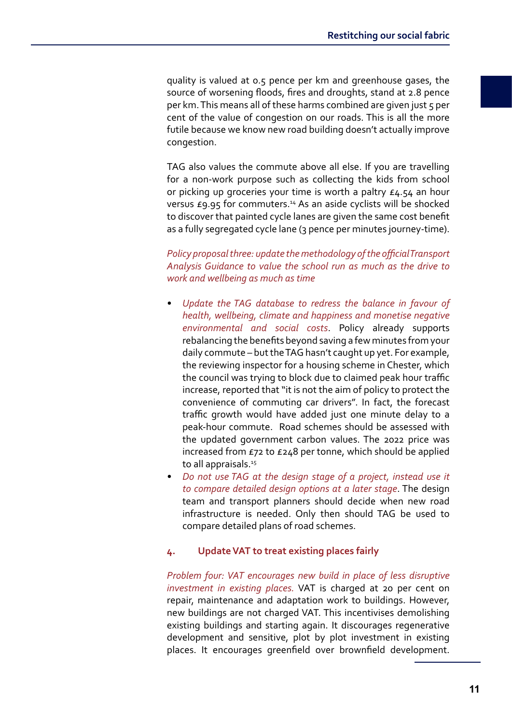quality is valued at 0.5 pence per km and greenhouse gases, the source of worsening floods, fires and droughts, stand at 2.8 pence per km. This means all of these harms combined are given just 5 per cent of the value of congestion on our roads. This is all the more futile because we know new road building doesn't actually improve congestion.

TAG also values the commute above all else. If you are travelling for a non-work purpose such as collecting the kids from school or picking up groceries your time is worth a paltry  $E_4.54$  an hour versus £9.95 for commuters.14 As an aside cyclists will be shocked to discover that painted cycle lanes are given the same cost benefit as a fully segregated cycle lane (3 pence per minutes journey-time).

*Policy proposal three: update the methodology of the official Transport Analysis Guidance to value the school run as much as the drive to work and wellbeing as much as time*

- *• Update the TAG database to redress the balance in favour of health, wellbeing, climate and happiness and monetise negative environmental and social costs*. Policy already supports rebalancing the benefits beyond saving a few minutes from your daily commute – but the TAG hasn't caught up yet. For example, the reviewing inspector for a housing scheme in Chester, which the council was trying to block due to claimed peak hour traffic increase, reported that "it is not the aim of policy to protect the convenience of commuting car drivers". In fact, the forecast traffic growth would have added just one minute delay to a peak-hour commute. Road schemes should be assessed with the updated government carbon values. The 2022 price was increased from  $E$ 72 to  $E$ 248 per tonne, which should be applied to all appraisals.<sup>15</sup>
- *• Do not use TAG at the design stage of a project, instead use it to compare detailed design options at a later stage*. The design team and transport planners should decide when new road infrastructure is needed. Only then should TAG be used to compare detailed plans of road schemes.

#### **4. UpdateVAT to treat existing places fairly**

*Problem four: VAT encourages new build in place of less disruptive investment in existing places.* VAT is charged at 20 per cent on repair, maintenance and adaptation work to buildings. However, new buildings are not charged VAT. This incentivises demolishing existing buildings and starting again. It discourages regenerative development and sensitive, plot by plot investment in existing places. It encourages greenfield over brownfield development.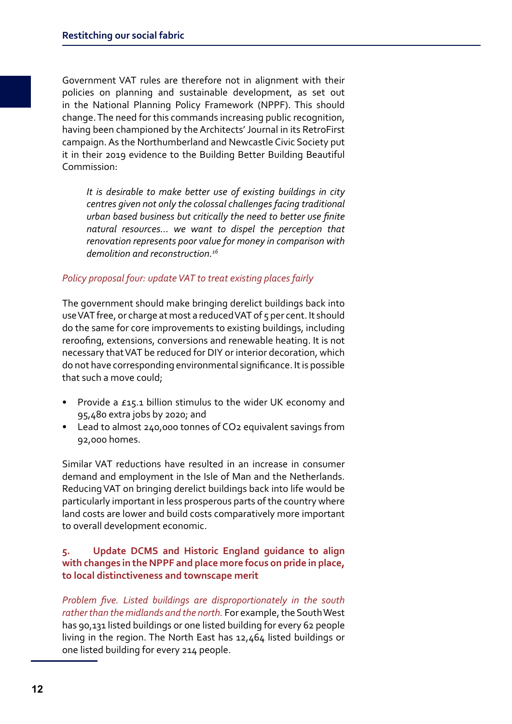Government VAT rules are therefore not in alignment with their policies on planning and sustainable development, as set out in the National Planning Policy Framework (NPPF). This should change. The need for this commands increasing public recognition, having been championed by the Architects' Journal in its RetroFirst campaign. As the Northumberland and Newcastle Civic Society put it in their 2019 evidence to the Building Better Building Beautiful Commission:

*It is desirable to make better use of existing buildings in city centres given not only the colossal challenges facing traditional urban based business but critically the need to better use finite natural resources… we want to dispel the perception that renovation represents poor value for money in comparison with demolition and reconstruction.16*

# *Policy proposal four: update VAT to treat existing places fairly*

The government should make bringing derelict buildings back into use VAT free, or charge at most a reduced VAT of 5 per cent. It should do the same for core improvements to existing buildings, including reroofing, extensions, conversions and renewable heating. It is not necessary that VAT be reduced for DIY or interior decoration, which do not have corresponding environmental significance. It is possible that such a move could;

- Provide a £15.1 billion stimulus to the wider UK economy and 95,480 extra jobs by 2020; and
- Lead to almost 240,000 tonnes of CO2 equivalent savings from 92,000 homes.

Similar VAT reductions have resulted in an increase in consumer demand and employment in the Isle of Man and the Netherlands. Reducing VAT on bringing derelict buildings back into life would be particularly important in less prosperous parts of the country where land costs are lower and build costs comparatively more important to overall development economic.

### **5. Update DCMS and Historic England guidance to align with changes in the NPPF and place more focus on pride in place, to local distinctiveness and townscape merit**

*Problem five. Listed buildings are disproportionately in the south rather than the midlands and the north.* For example, the South West has 90,131 listed buildings or one listed building for every 62 people living in the region. The North East has 12,464 listed buildings or one listed building for every 214 people.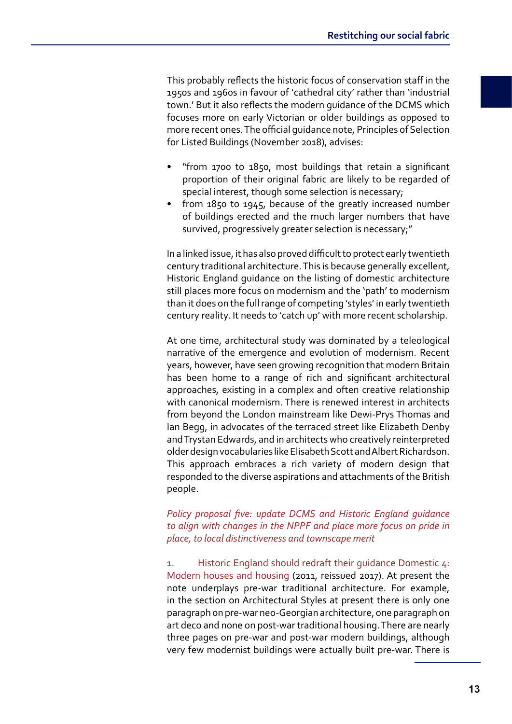This probably reflects the historic focus of conservation staff in the 1950s and 1960s in favour of 'cathedral city' rather than 'industrial town.' But it also reflects the modern guidance of the DCMS which focuses more on early Victorian or older buildings as opposed to more recent ones. The official guidance note, Principles of Selection for Listed Buildings (November 2018), advises:

- "from 1700 to 1850, most buildings that retain a significant proportion of their original fabric are likely to be regarded of special interest, though some selection is necessary;
- from 1850 to 1945, because of the greatly increased number of buildings erected and the much larger numbers that have survived, progressively greater selection is necessary;"

In a linked issue, it has also proved difficult to protect early twentieth century traditional architecture. This is because generally excellent, Historic England guidance on the listing of domestic architecture still places more focus on modernism and the 'path' to modernism than it does on the full range of competing 'styles' in early twentieth century reality. It needs to 'catch up' with more recent scholarship.

At one time, architectural study was dominated by a teleological narrative of the emergence and evolution of modernism. Recent years, however, have seen growing recognition that modern Britain has been home to a range of rich and significant architectural approaches, existing in a complex and often creative relationship with canonical modernism. There is renewed interest in architects from beyond the London mainstream like Dewi-Prys Thomas and Ian Begg, in advocates of the terraced street like Elizabeth Denby and Trystan Edwards, and in architects who creatively reinterpreted older design vocabularies like Elisabeth Scott and Albert Richardson. This approach embraces a rich variety of modern design that responded to the diverse aspirations and attachments of the British people.

# *Policy proposal five: update DCMS and Historic England guidance to align with changes in the NPPF and place more focus on pride in place, to local distinctiveness and townscape merit*

1. Historic England should redraft their guidance Domestic 4: Modern houses and housing (2011, reissued 2017). At present the note underplays pre-war traditional architecture. For example, in the section on Architectural Styles at present there is only one paragraph on pre-war neo-Georgian architecture, one paragraph on art deco and none on post-war traditional housing. There are nearly three pages on pre-war and post-war modern buildings, although very few modernist buildings were actually built pre-war. There is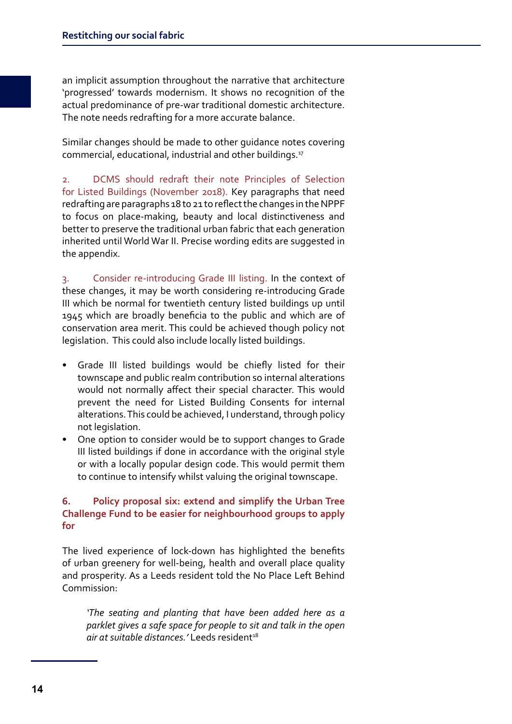an implicit assumption throughout the narrative that architecture 'progressed' towards modernism. It shows no recognition of the actual predominance of pre-war traditional domestic architecture. The note needs redrafting for a more accurate balance.

Similar changes should be made to other guidance notes covering commercial, educational, industrial and other buildings.17

2. DCMS should redraft their note Principles of Selection for Listed Buildings (November 2018). Key paragraphs that need redrafting are paragraphs 18 t0 21 to reflect the changes in the NPPF to focus on place-making, beauty and local distinctiveness and better to preserve the traditional urban fabric that each generation inherited until World War II. Precise wording edits are suggested in the appendix.

3. Consider re-introducing Grade III listing. In the context of these changes, it may be worth considering re-introducing Grade III which be normal for twentieth century listed buildings up until 1945 which are broadly beneficia to the public and which are of conservation area merit. This could be achieved though policy not legislation. This could also include locally listed buildings.

- Grade III listed buildings would be chiefly listed for their townscape and public realm contribution so internal alterations would not normally affect their special character. This would prevent the need for Listed Building Consents for internal alterations. This could be achieved, I understand, through policy not legislation.
- One option to consider would be to support changes to Grade III listed buildings if done in accordance with the original style or with a locally popular design code. This would permit them to continue to intensify whilst valuing the original townscape.

# **6. Policy proposal six: extend and simplify the Urban Tree Challenge Fund to be easier for neighbourhood groups to apply for**

The lived experience of lock-down has highlighted the benefits of urban greenery for well-being, health and overall place quality and prosperity. As a Leeds resident told the No Place Left Behind Commission:

*'The seating and planting that have been added here as a parklet gives a safe space for people to sit and talk in the open air at suitable distances* 'Leeds resident<sup>18</sup>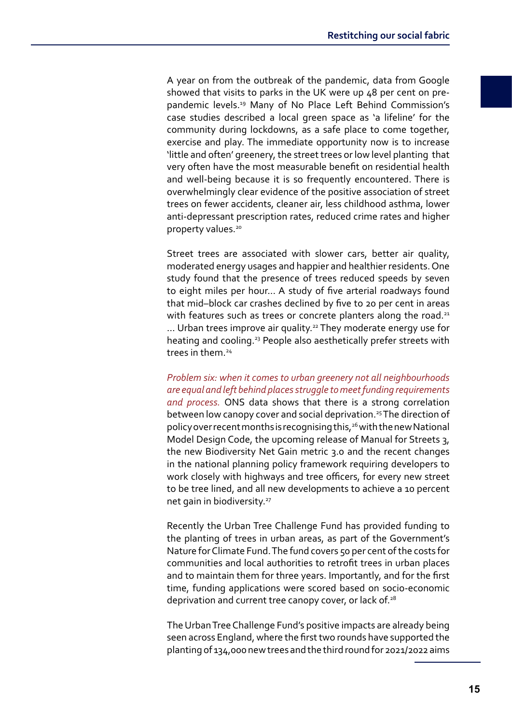A year on from the outbreak of the pandemic, data from Google showed that visits to parks in the UK were up 48 per cent on prepandemic levels.19 Many of No Place Left Behind Commission's case studies described a local green space as 'a lifeline' for the community during lockdowns, as a safe place to come together, exercise and play. The immediate opportunity now is to increase 'little and often' greenery, the street trees or low level planting that very often have the most measurable benefit on residential health and well-being because it is so frequently encountered. There is overwhelmingly clear evidence of the positive association of street trees on fewer accidents, cleaner air, less childhood asthma, lower anti-depressant prescription rates, reduced crime rates and higher property values.<sup>20</sup>

Street trees are associated with slower cars, better air quality, moderated energy usages and happier and healthier residents. One study found that the presence of trees reduced speeds by seven to eight miles per hour... A study of five arterial roadways found that mid–block car crashes declined by five to 20 per cent in areas with features such as trees or concrete planters along the road.<sup>21</sup> ... Urban trees improve air quality.<sup>22</sup> They moderate energy use for heating and cooling.<sup>23</sup> People also aesthetically prefer streets with trees in them.<sup>24</sup>

*Problem six: when it comes to urban greenery not all neighbourhoods are equal and left behind places struggle to meet funding requirements and process.* ONS data shows that there is a strong correlation between low canopy cover and social deprivation.<sup>25</sup> The direction of policy over recent months is recognising this,<sup>26</sup> with the new National Model Design Code, the upcoming release of Manual for Streets 3, the new Biodiversity Net Gain metric 3.0 and the recent changes in the national planning policy framework requiring developers to work closely with highways and tree officers, for every new street to be tree lined, and all new developments to achieve a 10 percent net gain in biodiversity.<sup>27</sup>

Recently the Urban Tree Challenge Fund has provided funding to the planting of trees in urban areas, as part of the Government's Nature for Climate Fund. The fund covers 50 per cent of the costs for communities and local authorities to retrofit trees in urban places and to maintain them for three years. Importantly, and for the first time, funding applications were scored based on socio-economic deprivation and current tree canopy cover, or lack of.<sup>28</sup>

The Urban Tree Challenge Fund's positive impacts are already being seen across England, where the first two rounds have supported the planting of 134,000 new trees and the third round for 2021/2022 aims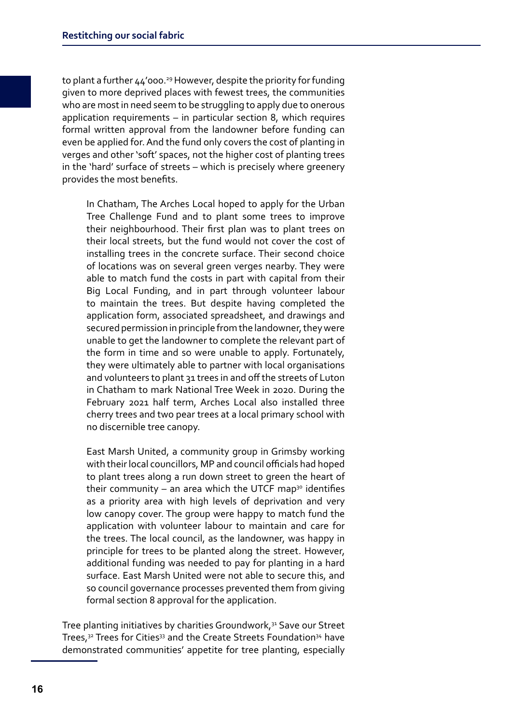to plant a further 44'000.<sup>29</sup> However, despite the priority for funding given to more deprived places with fewest trees, the communities who are most in need seem to be struggling to apply due to onerous application requirements – in particular section 8, which requires formal written approval from the landowner before funding can even be applied for. And the fund only covers the cost of planting in verges and other 'soft' spaces, not the higher cost of planting trees in the 'hard' surface of streets – which is precisely where greenery provides the most benefits.

In Chatham, The Arches Local hoped to apply for the Urban Tree Challenge Fund and to plant some trees to improve their neighbourhood. Their first plan was to plant trees on their local streets, but the fund would not cover the cost of installing trees in the concrete surface. Their second choice of locations was on several green verges nearby. They were able to match fund the costs in part with capital from their Big Local Funding, and in part through volunteer labour to maintain the trees. But despite having completed the application form, associated spreadsheet, and drawings and secured permission in principle from the landowner, they were unable to get the landowner to complete the relevant part of the form in time and so were unable to apply. Fortunately, they were ultimately able to partner with local organisations and volunteers to plant 31 trees in and off the streets of Luton in Chatham to mark National Tree Week in 2020. During the February 2021 half term, Arches Local also installed three cherry trees and two pear trees at a local primary school with no discernible tree canopy.

East Marsh United, a community group in Grimsby working with their local councillors, MP and council officials had hoped to plant trees along a run down street to green the heart of their community – an area which the UTCF map<sup>30</sup> identifies as a priority area with high levels of deprivation and very low canopy cover. The group were happy to match fund the application with volunteer labour to maintain and care for the trees. The local council, as the landowner, was happy in principle for trees to be planted along the street. However, additional funding was needed to pay for planting in a hard surface. East Marsh United were not able to secure this, and so council governance processes prevented them from giving formal section 8 approval for the application.

Tree planting initiatives by charities Groundwork,<sup>31</sup> Save our Street Trees,<sup>32</sup> Trees for Cities<sup>33</sup> and the Create Streets Foundation<sup>34</sup> have demonstrated communities' appetite for tree planting, especially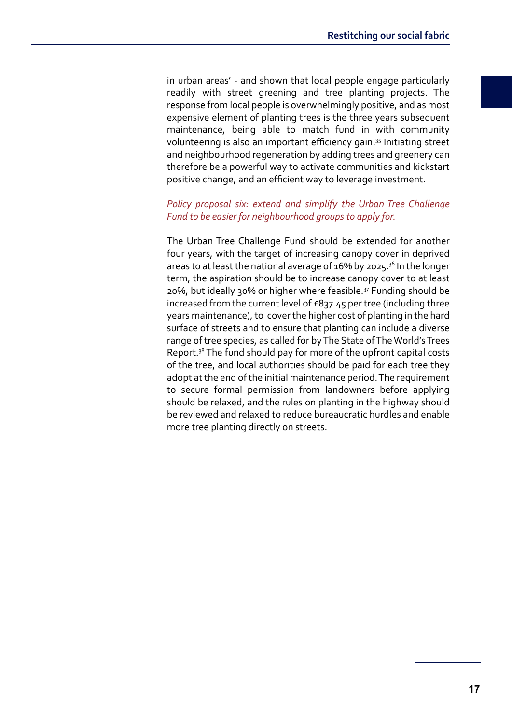in urban areas' - and shown that local people engage particularly readily with street greening and tree planting projects. The response from local people is overwhelmingly positive, and as most expensive element of planting trees is the three years subsequent maintenance, being able to match fund in with community volunteering is also an important efficiency gain.35 Initiating street and neighbourhood regeneration by adding trees and greenery can therefore be a powerful way to activate communities and kickstart positive change, and an efficient way to leverage investment.

# *Policy proposal six: extend and simplify the Urban Tree Challenge Fund to be easier for neighbourhood groups to apply for.*

The Urban Tree Challenge Fund should be extended for another four years, with the target of increasing canopy cover in deprived areas to at least the national average of 16% by 2025.<sup>36</sup> In the longer term, the aspiration should be to increase canopy cover to at least 20%, but ideally 30% or higher where feasible.37 Funding should be increased from the current level of £837.45 per tree (including three years maintenance), to cover the higher cost of planting in the hard surface of streets and to ensure that planting can include a diverse range of tree species, as called for by The State of The World's Trees Report.38 The fund should pay for more of the upfront capital costs of the tree, and local authorities should be paid for each tree they adopt at the end of the initial maintenance period. The requirement to secure formal permission from landowners before applying should be relaxed, and the rules on planting in the highway should be reviewed and relaxed to reduce bureaucratic hurdles and enable more tree planting directly on streets.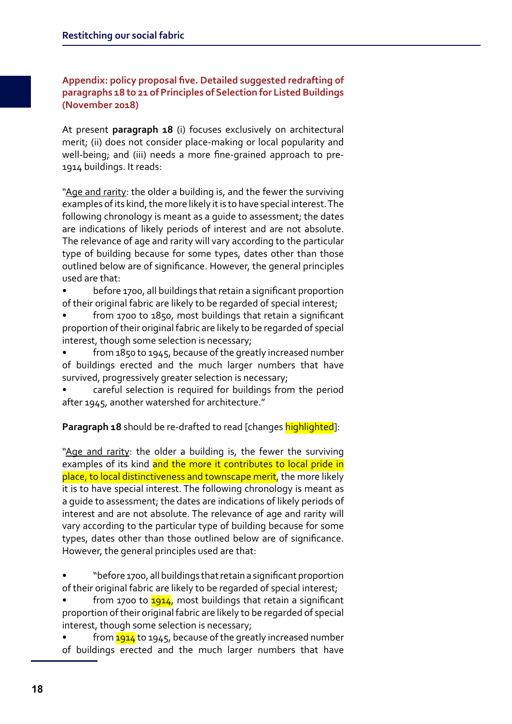# **Appendix: policy proposal five. Detailed suggested redrafting of paragraphs 18 to 21 of Principles of Selection for Listed Buildings (November 2018)**

At present **paragraph 18** (i) focuses exclusively on architectural merit; (ii) does not consider place-making or local popularity and well-being; and (iii) needs a more fine-grained approach to pre-1914 buildings. It reads:

"Age and rarity: the older a building is, and the fewer the surviving examples of its kind, the more likely it is to have special interest. The following chronology is meant as a guide to assessment; the dates are indications of likely periods of interest and are not absolute. The relevance of age and rarity will vary according to the particular type of building because for some types, dates other than those outlined below are of significance. However, the general principles used are that:

before 1700, all buildings that retain a significant proportion of their original fabric are likely to be regarded of special interest;

from 1700 to 1850, most buildings that retain a significant proportion of their original fabric are likely to be regarded of special interest, though some selection is necessary;

• from 1850 to 1945, because of the greatly increased number of buildings erected and the much larger numbers that have survived, progressively greater selection is necessary;

careful selection is required for buildings from the period after 1945, another watershed for architecture."

**Paragraph 18** should be re-drafted to read [changes highlighted]:

"Age and rarity: the older a building is, the fewer the surviving examples of its kind and the more it contributes to local pride in place, to local distinctiveness and townscape merit, the more likely it is to have special interest. The following chronology is meant as a guide to assessment; the dates are indications of likely periods of interest and are not absolute. The relevance of age and rarity will vary according to the particular type of building because for some types, dates other than those outlined below are of significance. However, the general principles used are that:

• "before 1700, all buildings that retain a significant proportion of their original fabric are likely to be regarded of special interest;

from 1700 to  $1914$ , most buildings that retain a significant proportion of their original fabric are likely to be regarded of special interest, though some selection is necessary;

from 1914 to 1945, because of the greatly increased number of buildings erected and the much larger numbers that have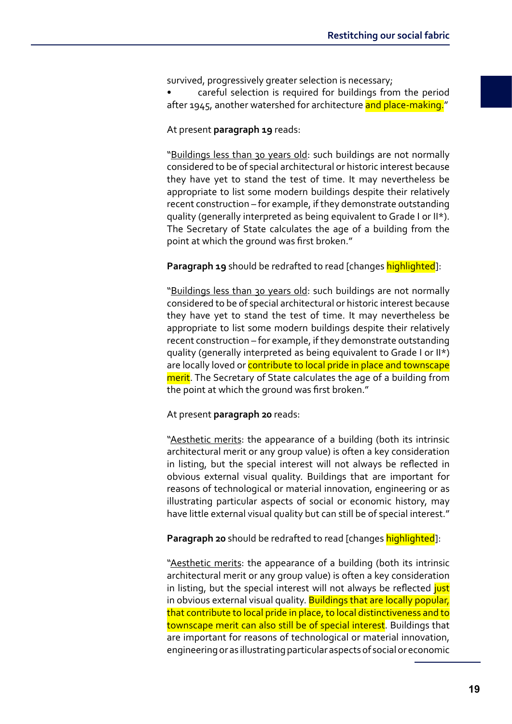survived, progressively greater selection is necessary;

careful selection is required for buildings from the period after 1945, another watershed for architecture and place-making."

At present **paragraph 19** reads:

"Buildings less than 30 years old: such buildings are not normally considered to be of special architectural or historic interest because they have yet to stand the test of time. It may nevertheless be appropriate to list some modern buildings despite their relatively recent construction – for example, if they demonstrate outstanding quality (generally interpreted as being equivalent to Grade I or II\*). The Secretary of State calculates the age of a building from the point at which the ground was first broken."

Paragraph 19 should be redrafted to read [changes highlighted]:

"Buildings less than 30 years old: such buildings are not normally considered to be of special architectural or historic interest because they have yet to stand the test of time. It may nevertheless be appropriate to list some modern buildings despite their relatively recent construction – for example, if they demonstrate outstanding quality (generally interpreted as being equivalent to Grade I or II\*) are locally loved or **contribute to local pride in place and townscape** merit. The Secretary of State calculates the age of a building from the point at which the ground was first broken."

At present **paragraph 20** reads:

"Aesthetic merits: the appearance of a building (both its intrinsic architectural merit or any group value) is often a key consideration in listing, but the special interest will not always be reflected in obvious external visual quality. Buildings that are important for reasons of technological or material innovation, engineering or as illustrating particular aspects of social or economic history, may have little external visual quality but can still be of special interest."

**Paragraph 20** should be redrafted to read [changes highlighted]:

"Aesthetic merits: the appearance of a building (both its intrinsic architectural merit or any group value) is often a key consideration in listing, but the special interest will not always be reflected just in obvious external visual quality. Buildings that are locally popular, that contribute to local pride in place, to local distinctiveness and to townscape merit can also still be of special interest. Buildings that are important for reasons of technological or material innovation, engineering or as illustrating particular aspects of social or economic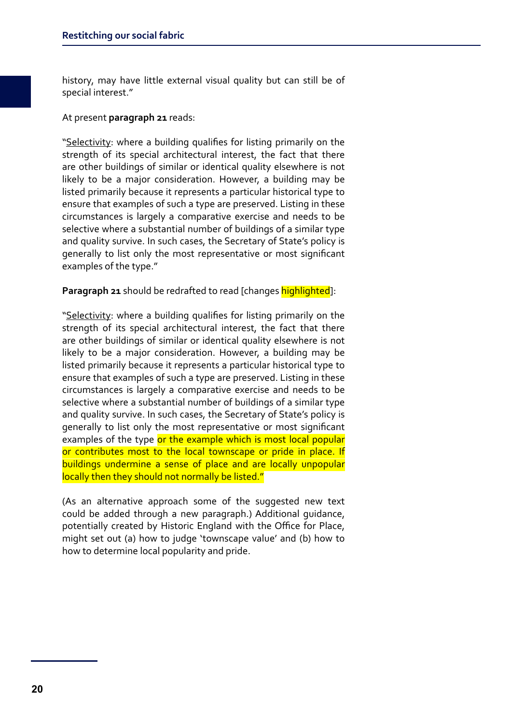history, may have little external visual quality but can still be of special interest."

#### At present **paragraph 21** reads:

"Selectivity: where a building qualifies for listing primarily on the strength of its special architectural interest, the fact that there are other buildings of similar or identical quality elsewhere is not likely to be a major consideration. However, a building may be listed primarily because it represents a particular historical type to ensure that examples of such a type are preserved. Listing in these circumstances is largely a comparative exercise and needs to be selective where a substantial number of buildings of a similar type and quality survive. In such cases, the Secretary of State's policy is generally to list only the most representative or most significant examples of the type."

**Paragraph 21** should be redrafted to read [changes highlighted]:

"Selectivity: where a building qualifies for listing primarily on the strength of its special architectural interest, the fact that there are other buildings of similar or identical quality elsewhere is not likely to be a major consideration. However, a building may be listed primarily because it represents a particular historical type to ensure that examples of such a type are preserved. Listing in these circumstances is largely a comparative exercise and needs to be selective where a substantial number of buildings of a similar type and quality survive. In such cases, the Secretary of State's policy is generally to list only the most representative or most significant examples of the type or the example which is most local popular or contributes most to the local townscape or pride in place. If buildings undermine a sense of place and are locally unpopular locally then they should not normally be listed."

(As an alternative approach some of the suggested new text could be added through a new paragraph.) Additional guidance, potentially created by Historic England with the Office for Place, might set out (a) how to judge 'townscape value' and (b) how to how to determine local popularity and pride.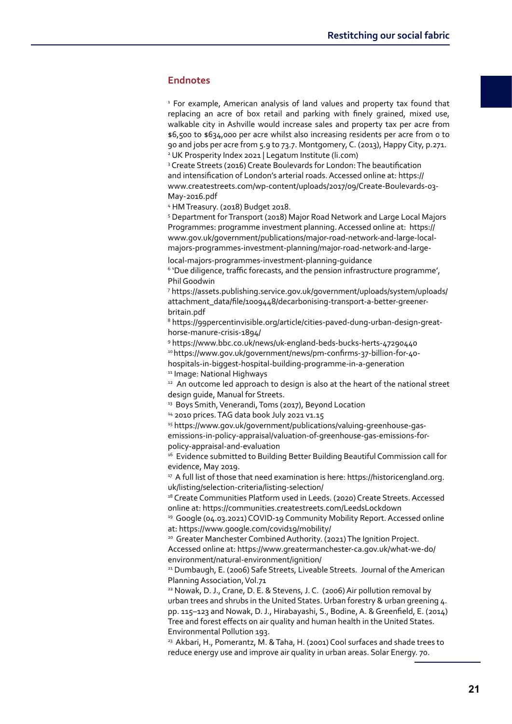#### **Endnotes**

<sup>1</sup> For example, American analysis of land values and property tax found that replacing an acre of box retail and parking with finely grained, mixed use, walkable city in Ashville would increase sales and property tax per acre from \$6,500 to \$634,000 per acre whilst also increasing residents per acre from 0 to 90 and jobs per acre from 5.9 to 73.7. Montgomery, C. (2013), Happy City, p.271. 2 UK Prosperity Index 2021 | Legatum Institute (li.com)

<sup>3</sup> Create Streets (2016) Create Boulevards for London: The beautification and intensification of London's arterial roads. Accessed online at: https:// www.createstreets.com/wp-content/uploads/2017/09/Create-Boulevards-03- May-2016.pdf

4 HM Treasury. (2018) Budget 2018.

<sup>5</sup> Department for Transport (2018) Major Road Network and Large Local Majors Programmes: programme investment planning. Accessed online at: https:// www.gov.uk/government/publications/major-road-network-and-large-localmajors-programmes-investment-planning/major-road-network-and-large-

local-majors-programmes-investment-planning-guidance

6 'Due diligence, traffic forecasts, and the pension infrastructure programme', Phil Goodwin

7 https://assets.publishing.service.gov.uk/government/uploads/system/uploads/ attachment\_data/file/1009448/decarbonising-transport-a-better-greenerbritain.pdf

<sup>8</sup> https://99percentinvisible.org/article/cities-paved-dung-urban-design-greathorse-manure-crisis-1894/

9 https://www.bbc.co.uk/news/uk-england-beds-bucks-herts-47290440

10 https://www.gov.uk/government/news/pm-confirms-37-billion-for-40 hospitals-in-biggest-hospital-building-programme-in-a-generation

<sup>11</sup> Image: National Highways

 $12$  An outcome led approach to design is also at the heart of the national street design guide, Manual for Streets.

<sup>13</sup> Boys Smith, Venerandi, Toms (2017), Beyond Location

<sup>14</sup> 2010 prices. TAG data book July 2021 v1.15

15 https://www.gov.uk/government/publications/valuing-greenhouse-gasemissions-in-policy-appraisal/valuation-of-greenhouse-gas-emissions-forpolicy-appraisal-and-evaluation

<sup>16</sup> Evidence submitted to Building Better Building Beautiful Commission call for evidence, May 2019.

<sup>17</sup> A full list of those that need examination is here: https://historicengland.org. uk/listing/selection-criteria/listing-selection/

<sup>18</sup> Create Communities Platform used in Leeds. (2020) Create Streets. Accessed online at: https://communities.createstreets.com/LeedsLockdown

<sup>19</sup> Google (04.03.2021) COVID-19 Community Mobility Report. Accessed online at: https://www.google.com/covid19/mobility/

<sup>20</sup> Greater Manchester Combined Authority. (2021) The Ignition Project. Accessed online at: https://www.greatermanchester-ca.gov.uk/what-we-do/ environment/natural-environment/ignition/

<sup>21</sup> Dumbaugh, E. (2006) Safe Streets, Liveable Streets. Journal of the American Planning Association, Vol.71

<sup>22</sup> Nowak, D. J., Crane, D. E. & Stevens, J. C. (2006) Air pollution removal by urban trees and shrubs in the United States. Urban forestry & urban greening 4. pp. 115–123 and Nowak, D. J., Hirabayashi, S., Bodine, A. & Greenfield, E. (2014) Tree and forest effects on air quality and human health in the United States. Environmental Pollution 193.

<sup>23</sup> Akbari, H., Pomerantz, M. & Taha, H. (2001) Cool surfaces and shade trees to reduce energy use and improve air quality in urban areas. Solar Energy. 70.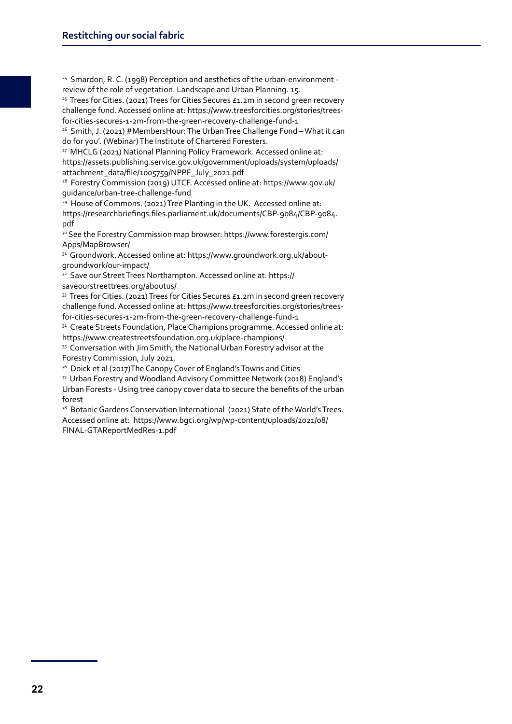<sup>24</sup> Smardon, R. C. (1998) Perception and aesthetics of the urban-environment review of the role of vegetation. Landscape and Urban Planning. 15.

<sup>25</sup> Trees for Cities. (2021) Trees for Cities Secures £1.2m in second green recovery challenge fund. Accessed online at: https://www.treesforcities.org/stories/treesfor-cities-secures-1-2m-from-the-green-recovery-challenge-fund-1

<sup>26</sup> Smith, J. (2021) #MembersHour: The Urban Tree Challenge Fund – What it can do for you'. (Webinar) The Institute of Chartered Foresters.

<sup>27</sup> MHCLG (2021) National Planning Policy Framework. Accessed online at: https://assets.publishing.service.gov.uk/government/uploads/system/uploads/ attachment\_data/file/1005759/NPPF\_July\_2021.pdf

<sup>28</sup> Forestry Commission (2019) UTCF. Accessed online at: https://www.gov.uk/ guidance/urban-tree-challenge-fund

<sup>29</sup> House of Commons. (2021) Tree Planting in the UK. Accessed online at: https://researchbriefings.files.parliament.uk/documents/CBP-9084/CBP-9084. pdf

30 See the Forestry Commission map browser: https://www.forestergis.com/ Apps/MapBrowser/

31 Groundwork. Accessed online at: https://www.groundwork.org.uk/aboutgroundwork/our-impact/

32 Save our Street Trees Northampton. Accessed online at: https:// saveourstreettrees.org/aboutus/

33 Trees for Cities. (2021) Trees for Cities Secures £1.2m in second green recovery challenge fund. Accessed online at: https://www.treesforcities.org/stories/treesfor-cities-secures-1-2m-from-the-green-recovery-challenge-fund-1

34 Create Streets Foundation, Place Champions programme. Accessed online at: https://www.createstreetsfoundation.org.uk/place-champions/

<sup>35</sup> Conversation with Jim Smith, the National Urban Forestry advisor at the Forestry Commission, July 2021.

<sup>36</sup> Doick et al (2017) The Canopy Cover of England's Towns and Cities

<sup>37</sup> Urban Forestry and Woodland Advisory Committee Network (2018) England's

Urban Forests - Using tree canopy cover data to secure the benefits of the urban forest

<sup>38</sup> Botanic Gardens Conservation International (2021) State of the World's Trees. Accessed online at: https://www.bgci.org/wp/wp-content/uploads/2021/08/ FINAL-GTAReportMedRes-1.pdf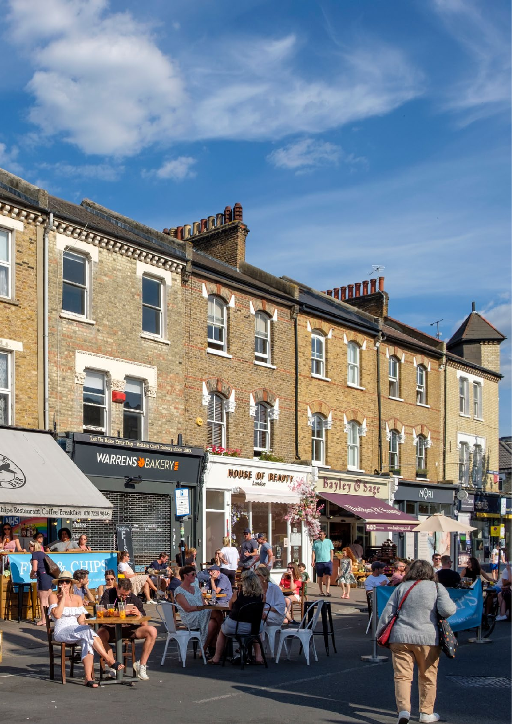